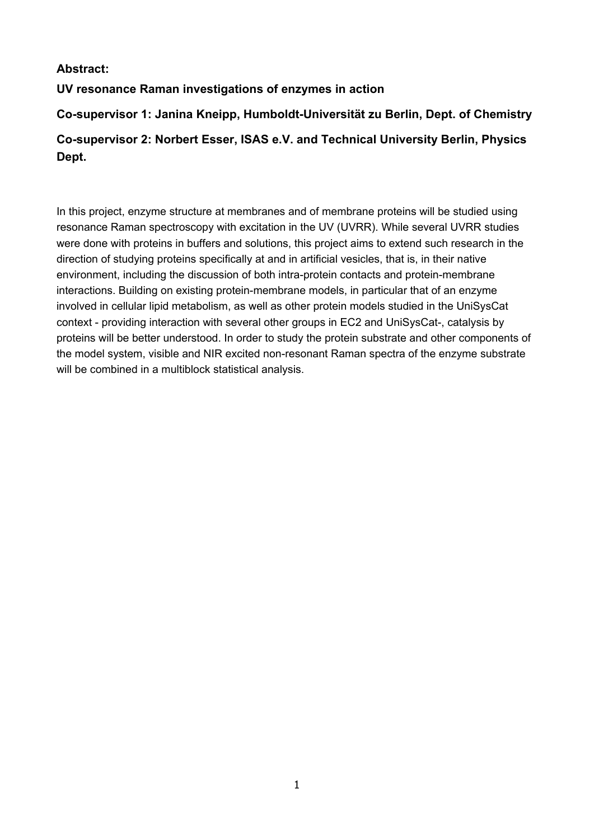# **Abstract:**

**UV resonance Raman investigations of enzymes in action** 

**Co-supervisor 1: Janina Kneipp, Humboldt-Universität zu Berlin, Dept. of Chemistry Co-supervisor 2: Norbert Esser, ISAS e.V. and Technical University Berlin, Physics Dept.** 

In this project, enzyme structure at membranes and of membrane proteins will be studied using resonance Raman spectroscopy with excitation in the UV (UVRR). While several UVRR studies were done with proteins in buffers and solutions, this project aims to extend such research in the direction of studying proteins specifically at and in artificial vesicles, that is, in their native environment, including the discussion of both intra-protein contacts and protein-membrane interactions. Building on existing protein-membrane models, in particular that of an enzyme involved in cellular lipid metabolism, as well as other protein models studied in the UniSysCat context - providing interaction with several other groups in EC2 and UniSysCat-, catalysis by proteins will be better understood. In order to study the protein substrate and other components of the model system, visible and NIR excited non-resonant Raman spectra of the enzyme substrate will be combined in a multiblock statistical analysis.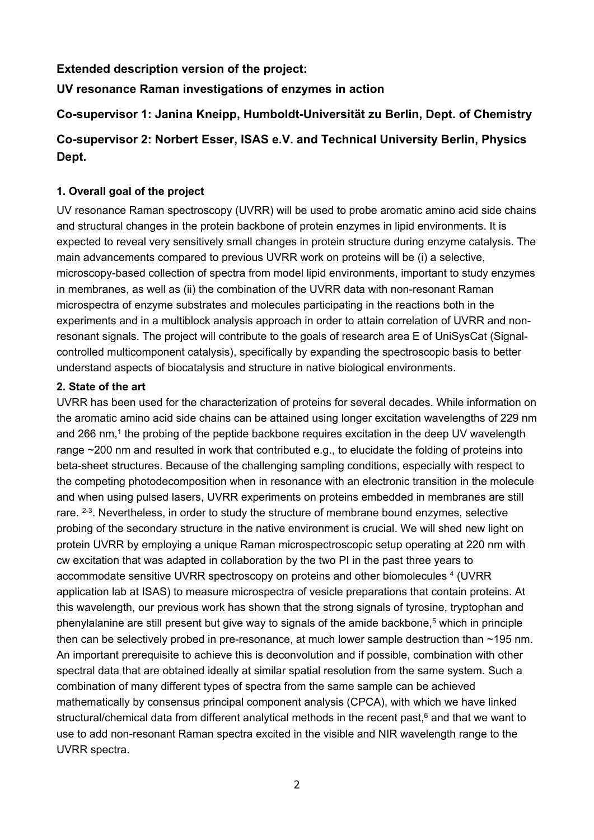# **Extended description version of the project:**

**UV resonance Raman investigations of enzymes in action** 

# **Co-supervisor 1: Janina Kneipp, Humboldt-Universität zu Berlin, Dept. of Chemistry**

# **Co-supervisor 2: Norbert Esser, ISAS e.V. and Technical University Berlin, Physics Dept.**

# **1. Overall goal of the project**

UV resonance Raman spectroscopy (UVRR) will be used to probe aromatic amino acid side chains and structural changes in the protein backbone of protein enzymes in lipid environments. It is expected to reveal very sensitively small changes in protein structure during enzyme catalysis. The main advancements compared to previous UVRR work on proteins will be (i) a selective, microscopy-based collection of spectra from model lipid environments, important to study enzymes in membranes, as well as (ii) the combination of the UVRR data with non-resonant Raman microspectra of enzyme substrates and molecules participating in the reactions both in the experiments and in a multiblock analysis approach in order to attain correlation of UVRR and nonresonant signals. The project will contribute to the goals of research area E of UniSysCat (Signalcontrolled multicomponent catalysis), specifically by expanding the spectroscopic basis to better understand aspects of biocatalysis and structure in native biological environments.

#### **2. State of the art**

UVRR has been used for the characterization of proteins for several decades. While information on the aromatic amino acid side chains can be attained using longer excitation wavelengths of 229 nm and 266 nm.<sup>1</sup> the probing of the peptide backbone requires excitation in the deep UV wavelength range ~200 nm and resulted in work that contributed e.g., to elucidate the folding of proteins into beta-sheet structures. Because of the challenging sampling conditions, especially with respect to the competing photodecomposition when in resonance with an electronic transition in the molecule and when using pulsed lasers, UVRR experiments on proteins embedded in membranes are still rare.  $2-3$ . Nevertheless, in order to study the structure of membrane bound enzymes, selective probing of the secondary structure in the native environment is crucial. We will shed new light on protein UVRR by employing a unique Raman microspectroscopic setup operating at 220 nm with cw excitation that was adapted in collaboration by the two PI in the past three years to accommodate sensitive UVRR spectroscopy on proteins and other biomolecules <sup>4</sup> (UVRR application lab at ISAS) to measure microspectra of vesicle preparations that contain proteins. At this wavelength, our previous work has shown that the strong signals of tyrosine, tryptophan and phenylalanine are still present but give way to signals of the amide backbone, $5$  which in principle then can be selectively probed in pre-resonance, at much lower sample destruction than ~195 nm. An important prerequisite to achieve this is deconvolution and if possible, combination with other spectral data that are obtained ideally at similar spatial resolution from the same system. Such a combination of many different types of spectra from the same sample can be achieved mathematically by consensus principal component analysis (CPCA), with which we have linked structural/chemical data from different analytical methods in the recent past, $6$  and that we want to use to add non-resonant Raman spectra excited in the visible and NIR wavelength range to the UVRR spectra.